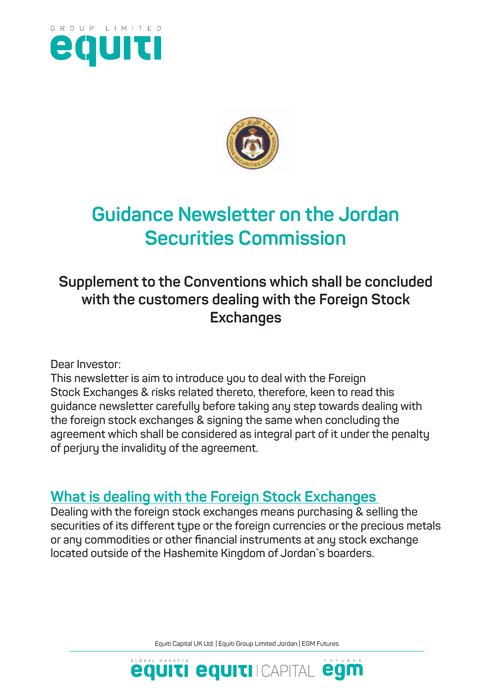



# **Guidance Newsletter on the Jordan Securities Commission**

## **Supplement to the Conventions which shall be concluded with the customers dealing with the Foreign Stock Exchanges**

**Dear Investor:**

**This newsletter is aim to introduce you to deal with the Foreign Stock Exchanges & risks related thereto, therefore, keen to read this guidance newsletter carefully before taking any step towards dealing with the foreign stock exchanges & signing the same when concluding the agreement which shall be considered as integral part of it under the penalty of perjury the invalidity of the agreement.** 

#### **What is dealing with the Foreign Stock Exchanges**

**Dealing with the foreign stock exchanges means purchasing & selling the securities of its different type or the foreign currencies or the precious metals or any commodities or other financial instruments at any stock exchange located outside of the Hashemite Kingdom of Jordan`s boarders.** 

Equiti Capital UK Ltd. | Equiti Group Limited Jordan | EGM Futures

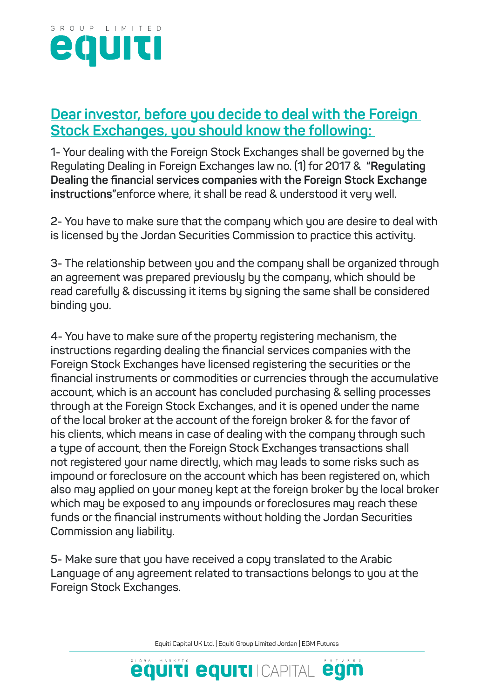

#### **Dear investor, before you decide to deal with the Foreign Stock Exchanges, you should know the following:**

**1- Your dealing with the Foreign Stock Exchanges shall be governed by the Regulating Dealing in Foreign Exchanges law no. (1) for 2017 & "Regulating Dealing the financial services companies with the Foreign Stock Exchange instructions"enforce where, it shall be read & understood it very well.** 

**2- You have to make sure that the company which you are desire to deal with is licensed by the Jordan Securities Commission to practice this activity.** 

**3- The relationship between you and the company shall be organized through an agreement was prepared previously by the company, which should be read carefully & discussing it items by signing the same shall be considered binding you.** 

**4- You have to make sure of the property registering mechanism, the instructions regarding dealing the financial services companies with the Foreign Stock Exchanges have licensed registering the securities or the financial instruments or commodities or currencies through the accumulative account, which is an account has concluded purchasing & selling processes through at the Foreign Stock Exchanges, and it is opened under the name of the local broker at the account of the foreign broker & for the favor of his clients, which means in case of dealing with the company through such a type of account, then the Foreign Stock Exchanges transactions shall not registered your name directly, which may leads to some risks such as impound or foreclosure on the account which has been registered on, which also may applied on your money kept at the foreign broker by the local broker which may be exposed to any impounds or foreclosures may reach these funds or the financial instruments without holding the Jordan Securities Commission any liability.**

**5- Make sure that you have received a copy translated to the Arabic Language of any agreement related to transactions belongs to you at the Foreign Stock Exchanges.**

Equiti Capital UK Ltd. | Equiti Group Limited Jordan | EGM Futures

**equiti equiti** Icapital egm